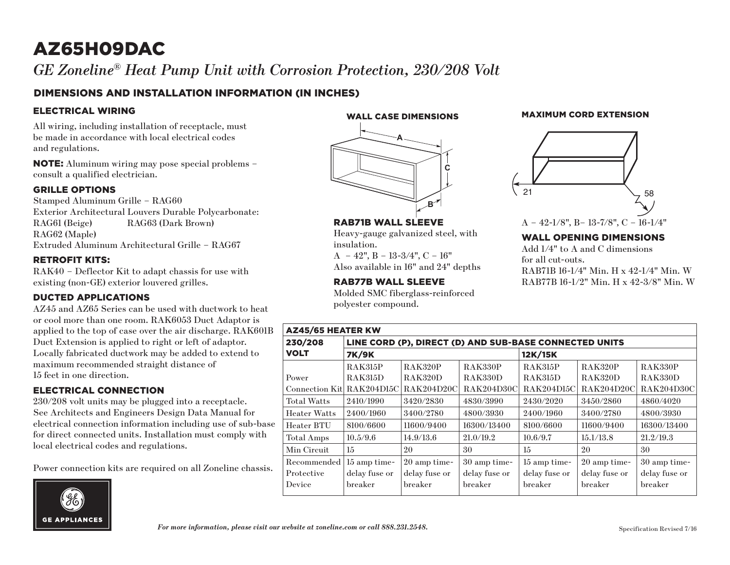# AZ65H09DAC

*GE Zoneline® Heat Pump Unit with Corrosion Protection, 230/208 Volt* Zoneline RAC Wall Installation

## DIMENSIONS AND INSTALLATION INFORMATION (IN INCHES)

#### ELECTRICAL WIRING

All wiring, including installation of receptacle, must be made in accordance with local electrical codes and regulations.

NOTE: Aluminum wiring may pose special problems – consult a qualified electrician.

#### GRILLE OPTIONS

Stamped Aluminum Grille – RAG60 Exterior Architectural Louvers Durable Polycarbonate: RAG61 (Beige) RAG63 (Dark Brown) RAG62 (Maple) Extruded Aluminum Architectural Grille – RAG67

#### RETROFIT KITS:

RAK40 – Deflector Kit to adapt chassis for use with existing (non-GE) exterior louvered grilles.

#### DUCTED APPLICATIONS

AZ45 and AZ65 Series can be used with ductwork to heat or cool more than one room. RAK6053 Duct Adaptor is applied to the top of case over the air discharge. RAK601B Duct Extension is applied to right or left of adaptor. Locally fabricated ductwork may be added to extend to maximum recommended straight distance of 15 feet in one direction.

#### ELECTRICAL CONNECTION

230/208 volt units may be plugged into a receptacle. See Architects and Engineers Design Data Manual for electrical connection information including use of sub-base for direct connected units. Installation must comply with local electrical codes and regulations.

Power connection kits are required on all Zoneline chassis.



WALL CASE DIMENSIONS



RAB71B WALL SLEEVE

 $A - 42$ ",  $B - 13-3/4$ ",  $C - 16$ " Also available in 16" and 24" depths

RAB77B WALL SLEEVE

polyester compound.

insulation.

Heavy-gauge galvanized steel, with

Molded SMC fiberglass-reinforced

#### MAXIMUM CORD EXTENSION



### A – 42-1/8", B– 13-7/8", C – 16-1/4"

#### WALL OPENING DIMENSIONS

Add 1/4" to A and C dimensions for all cut-outs. RAB71B 16-1/4" Min. H x 42-1/4" Min. W RAB77B 16-1/2" Min. H x 42-3/8" Min. W

| <b>AZ45/65 HEATER KW</b>  |                                                        |                   |                |                |                   |                   |
|---------------------------|--------------------------------------------------------|-------------------|----------------|----------------|-------------------|-------------------|
| 230/208                   | LINE CORD (P), DIRECT (D) AND SUB-BASE CONNECTED UNITS |                   |                |                |                   |                   |
| <b>VOLT</b>               | <b>7K/9K</b>                                           |                   |                | 12K/15K        |                   |                   |
|                           | <b>RAK315P</b>                                         | <b>RAK320P</b>    | <b>RAK330P</b> | <b>RAK315P</b> | <b>RAK320P</b>    | <b>RAK330P</b>    |
| Power                     | <b>RAK315D</b>                                         | <b>RAK320D</b>    | <b>RAK330D</b> | <b>RAK315D</b> | RAK320D           | <b>RAK330D</b>    |
| Connection Kit RAK204D15C |                                                        | <b>RAK204D20C</b> | RAK204D30C     | RAK204D15C     | <b>RAK204D20C</b> | <b>RAK204D30C</b> |
| <b>Total Watts</b>        | 2410/1990                                              | 3420/2830         | 4830/3990      | 2430/2020      | 3450/2860         | 4860/4020         |
| <b>Heater Watts</b>       | 2400/1960                                              | 3400/2780         | 4800/3930      | 2400/1960      | 3400/2780         | 4800/3930         |
| Heater BTU                | 8100/6600                                              | 11600/9400        | 16300/13400    | 8100/6600      | 11600/9400        | 16300/13400       |
| Total Amps                | 10.5/9.6                                               | 14.9/13.6         | 21.0/19.2      | 10.6/9.7       | 15.1/13.8         | 21.2/19.3         |
| Min Circuit               | 15                                                     | 20                | 30             | 15             | 20                | 30                |
| Recommended               | 15 amp time-                                           | 20 amp time-      | 30 amp time-   | 15 amp time-   | 20 amp time-      | 30 amp time-      |
| Protective                | delay fuse or                                          | delay fuse or     | delay fuse or  | delay fuse or  | delay fuse or     | delay fuse or     |
| Device                    | breaker                                                | breaker           | breaker        | breaker        | breaker           | breaker           |